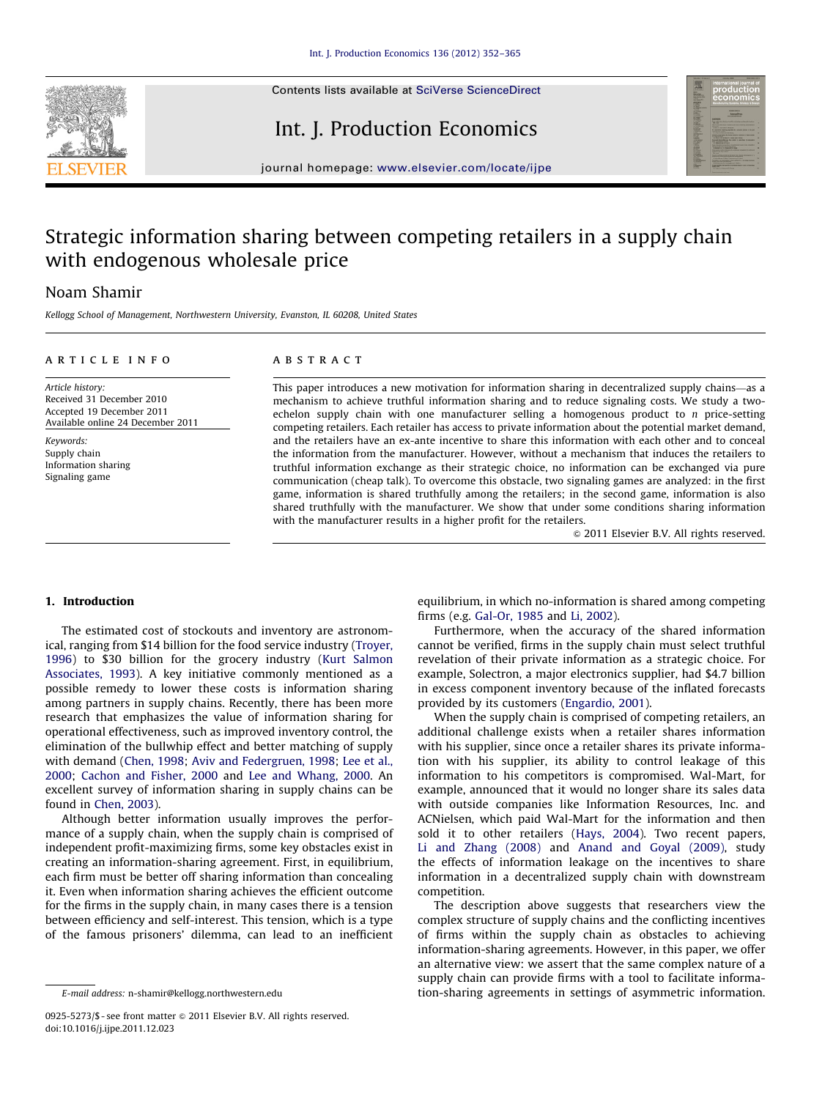

# Int. J. Production Economics



journal homepage: <www.elsevier.com/locate/ijpe>

# Strategic information sharing between competing retailers in a supply chain with endogenous wholesale price

## Noam Shamir

Kellogg School of Management, Northwestern University, Evanston, IL 60208, United States

#### article info

## **ABSTRACT**

Article history: Received 31 December 2010 Accepted 19 December 2011 Available online 24 December 2011

Keywords: Supply chain Information sharing Signaling game

This paper introduces a new motivation for information sharing in decentralized supply chains—as a mechanism to achieve truthful information sharing and to reduce signaling costs. We study a twoechelon supply chain with one manufacturer selling a homogenous product to  $n$  price-setting competing retailers. Each retailer has access to private information about the potential market demand, and the retailers have an ex-ante incentive to share this information with each other and to conceal the information from the manufacturer. However, without a mechanism that induces the retailers to truthful information exchange as their strategic choice, no information can be exchanged via pure communication (cheap talk). To overcome this obstacle, two signaling games are analyzed: in the first game, information is shared truthfully among the retailers; in the second game, information is also shared truthfully with the manufacturer. We show that under some conditions sharing information with the manufacturer results in a higher profit for the retailers.

 $\odot$  2011 Elsevier B.V. All rights reserved.

### 1. Introduction

The estimated cost of stockouts and inventory are astronomical, ranging from \$14 billion for the food service industry ([Troyer,](#page--1-0) [1996](#page--1-0)) to \$30 billion for the grocery industry ([Kurt Salmon](#page--1-0) [Associates, 1993](#page--1-0)). A key initiative commonly mentioned as a possible remedy to lower these costs is information sharing among partners in supply chains. Recently, there has been more research that emphasizes the value of information sharing for operational effectiveness, such as improved inventory control, the elimination of the bullwhip effect and better matching of supply with demand ([Chen, 1998](#page--1-0); [Aviv and Federgruen, 1998](#page--1-0); [Lee et al.,](#page--1-0) [2000;](#page--1-0) [Cachon and Fisher, 2000](#page--1-0) and [Lee and Whang, 2000](#page--1-0). An excellent survey of information sharing in supply chains can be found in [Chen, 2003](#page--1-0)).

Although better information usually improves the performance of a supply chain, when the supply chain is comprised of independent profit-maximizing firms, some key obstacles exist in creating an information-sharing agreement. First, in equilibrium, each firm must be better off sharing information than concealing it. Even when information sharing achieves the efficient outcome for the firms in the supply chain, in many cases there is a tension between efficiency and self-interest. This tension, which is a type of the famous prisoners' dilemma, can lead to an inefficient equilibrium, in which no-information is shared among competing firms (e.g. [Gal-Or, 1985](#page--1-0) and [Li, 2002\)](#page--1-0).

Furthermore, when the accuracy of the shared information cannot be verified, firms in the supply chain must select truthful revelation of their private information as a strategic choice. For example, Solectron, a major electronics supplier, had \$4.7 billion in excess component inventory because of the inflated forecasts provided by its customers [\(Engardio, 2001\)](#page--1-0).

When the supply chain is comprised of competing retailers, an additional challenge exists when a retailer shares information with his supplier, since once a retailer shares its private information with his supplier, its ability to control leakage of this information to his competitors is compromised. Wal-Mart, for example, announced that it would no longer share its sales data with outside companies like Information Resources, Inc. and ACNielsen, which paid Wal-Mart for the information and then sold it to other retailers ([Hays, 2004\)](#page--1-0). Two recent papers, [Li and Zhang \(2008\)](#page--1-0) and [Anand and Goyal \(2009\)](#page--1-0), study the effects of information leakage on the incentives to share information in a decentralized supply chain with downstream competition.

The description above suggests that researchers view the complex structure of supply chains and the conflicting incentives of firms within the supply chain as obstacles to achieving information-sharing agreements. However, in this paper, we offer an alternative view: we assert that the same complex nature of a supply chain can provide firms with a tool to facilitate information-sharing agreements in settings of asymmetric information.

E-mail address: [n-shamir@kellogg.northwestern.edu](mailto:n-shamir@kellogg.northwestern.edu)

<sup>0925-5273/\$ -</sup> see front matter  $\circ$  2011 Elsevier B.V. All rights reserved. doi:[10.1016/j.ijpe.2011.12.023](dx.doi.org/10.1016/j.ijpe.2011.12.023)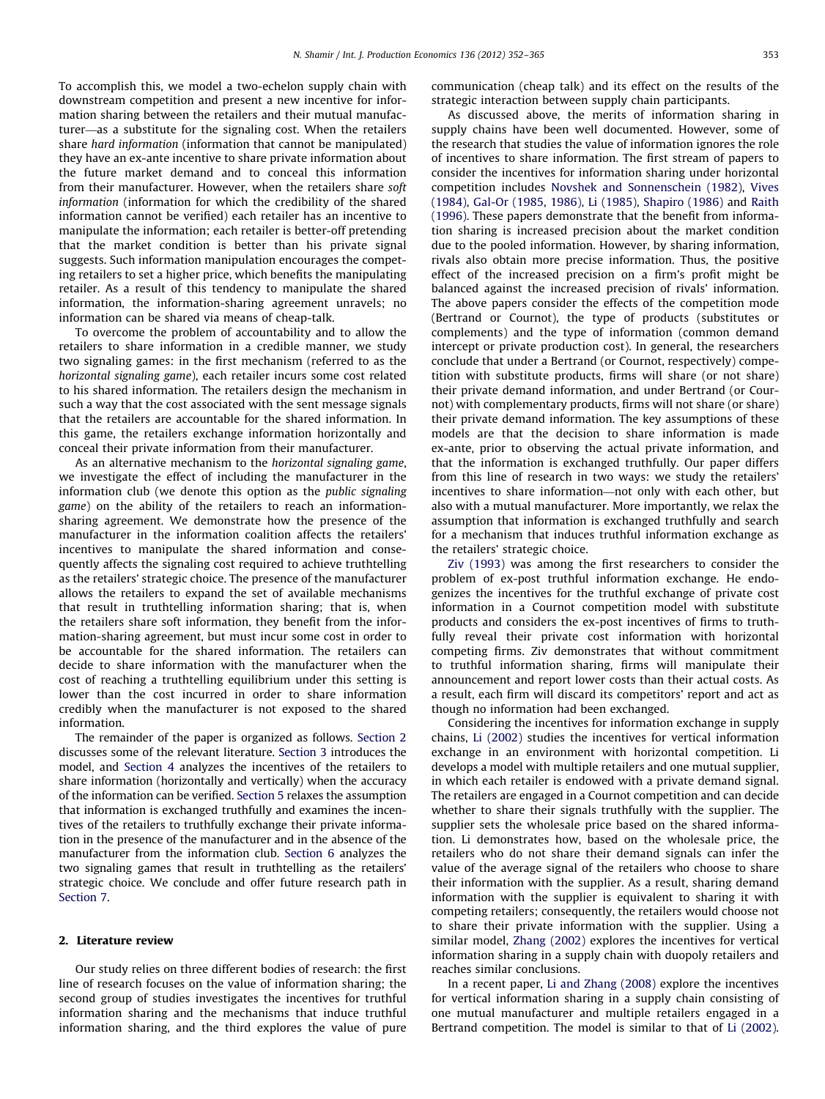To accomplish this, we model a two-echelon supply chain with downstream competition and present a new incentive for information sharing between the retailers and their mutual manufacturer—as a substitute for the signaling cost. When the retailers share hard information (information that cannot be manipulated) they have an ex-ante incentive to share private information about the future market demand and to conceal this information from their manufacturer. However, when the retailers share soft information (information for which the credibility of the shared information cannot be verified) each retailer has an incentive to manipulate the information; each retailer is better-off pretending that the market condition is better than his private signal suggests. Such information manipulation encourages the competing retailers to set a higher price, which benefits the manipulating retailer. As a result of this tendency to manipulate the shared information, the information-sharing agreement unravels; no information can be shared via means of cheap-talk.

To overcome the problem of accountability and to allow the retailers to share information in a credible manner, we study two signaling games: in the first mechanism (referred to as the horizontal signaling game), each retailer incurs some cost related to his shared information. The retailers design the mechanism in such a way that the cost associated with the sent message signals that the retailers are accountable for the shared information. In this game, the retailers exchange information horizontally and conceal their private information from their manufacturer.

As an alternative mechanism to the horizontal signaling game, we investigate the effect of including the manufacturer in the information club (we denote this option as the public signaling game) on the ability of the retailers to reach an informationsharing agreement. We demonstrate how the presence of the manufacturer in the information coalition affects the retailers' incentives to manipulate the shared information and consequently affects the signaling cost required to achieve truthtelling as the retailers' strategic choice. The presence of the manufacturer allows the retailers to expand the set of available mechanisms that result in truthtelling information sharing; that is, when the retailers share soft information, they benefit from the information-sharing agreement, but must incur some cost in order to be accountable for the shared information. The retailers can decide to share information with the manufacturer when the cost of reaching a truthtelling equilibrium under this setting is lower than the cost incurred in order to share information credibly when the manufacturer is not exposed to the shared information.

The remainder of the paper is organized as follows. Section 2 discusses some of the relevant literature. [Section 3](#page--1-0) introduces the model, and [Section 4](#page--1-0) analyzes the incentives of the retailers to share information (horizontally and vertically) when the accuracy of the information can be verified. [Section 5](#page--1-0) relaxes the assumption that information is exchanged truthfully and examines the incentives of the retailers to truthfully exchange their private information in the presence of the manufacturer and in the absence of the manufacturer from the information club. [Section 6](#page--1-0) analyzes the two signaling games that result in truthtelling as the retailers' strategic choice. We conclude and offer future research path in [Section 7](#page--1-0).

#### 2. Literature review

Our study relies on three different bodies of research: the first line of research focuses on the value of information sharing; the second group of studies investigates the incentives for truthful information sharing and the mechanisms that induce truthful information sharing, and the third explores the value of pure communication (cheap talk) and its effect on the results of the strategic interaction between supply chain participants.

As discussed above, the merits of information sharing in supply chains have been well documented. However, some of the research that studies the value of information ignores the role of incentives to share information. The first stream of papers to consider the incentives for information sharing under horizontal competition includes [Novshek and Sonnenschein \(1982\),](#page--1-0) [Vives](#page--1-0) [\(1984\),](#page--1-0) [Gal-Or \(1985,](#page--1-0) [1986\),](#page--1-0) [Li \(1985\),](#page--1-0) [Shapiro \(1986\)](#page--1-0) and [Raith](#page--1-0) [\(1996\).](#page--1-0) These papers demonstrate that the benefit from information sharing is increased precision about the market condition due to the pooled information. However, by sharing information, rivals also obtain more precise information. Thus, the positive effect of the increased precision on a firm's profit might be balanced against the increased precision of rivals' information. The above papers consider the effects of the competition mode (Bertrand or Cournot), the type of products (substitutes or complements) and the type of information (common demand intercept or private production cost). In general, the researchers conclude that under a Bertrand (or Cournot, respectively) competition with substitute products, firms will share (or not share) their private demand information, and under Bertrand (or Cournot) with complementary products, firms will not share (or share) their private demand information. The key assumptions of these models are that the decision to share information is made ex-ante, prior to observing the actual private information, and that the information is exchanged truthfully. Our paper differs from this line of research in two ways: we study the retailers' incentives to share information—not only with each other, but also with a mutual manufacturer. More importantly, we relax the assumption that information is exchanged truthfully and search for a mechanism that induces truthful information exchange as the retailers' strategic choice.

[Ziv \(1993\)](#page--1-0) was among the first researchers to consider the problem of ex-post truthful information exchange. He endogenizes the incentives for the truthful exchange of private cost information in a Cournot competition model with substitute products and considers the ex-post incentives of firms to truthfully reveal their private cost information with horizontal competing firms. Ziv demonstrates that without commitment to truthful information sharing, firms will manipulate their announcement and report lower costs than their actual costs. As a result, each firm will discard its competitors' report and act as though no information had been exchanged.

Considering the incentives for information exchange in supply chains, [Li \(2002\)](#page--1-0) studies the incentives for vertical information exchange in an environment with horizontal competition. Li develops a model with multiple retailers and one mutual supplier, in which each retailer is endowed with a private demand signal. The retailers are engaged in a Cournot competition and can decide whether to share their signals truthfully with the supplier. The supplier sets the wholesale price based on the shared information. Li demonstrates how, based on the wholesale price, the retailers who do not share their demand signals can infer the value of the average signal of the retailers who choose to share their information with the supplier. As a result, sharing demand information with the supplier is equivalent to sharing it with competing retailers; consequently, the retailers would choose not to share their private information with the supplier. Using a similar model, [Zhang \(2002\)](#page--1-0) explores the incentives for vertical information sharing in a supply chain with duopoly retailers and reaches similar conclusions.

In a recent paper, [Li and Zhang \(2008\)](#page--1-0) explore the incentives for vertical information sharing in a supply chain consisting of one mutual manufacturer and multiple retailers engaged in a Bertrand competition. The model is similar to that of [Li \(2002\).](#page--1-0)